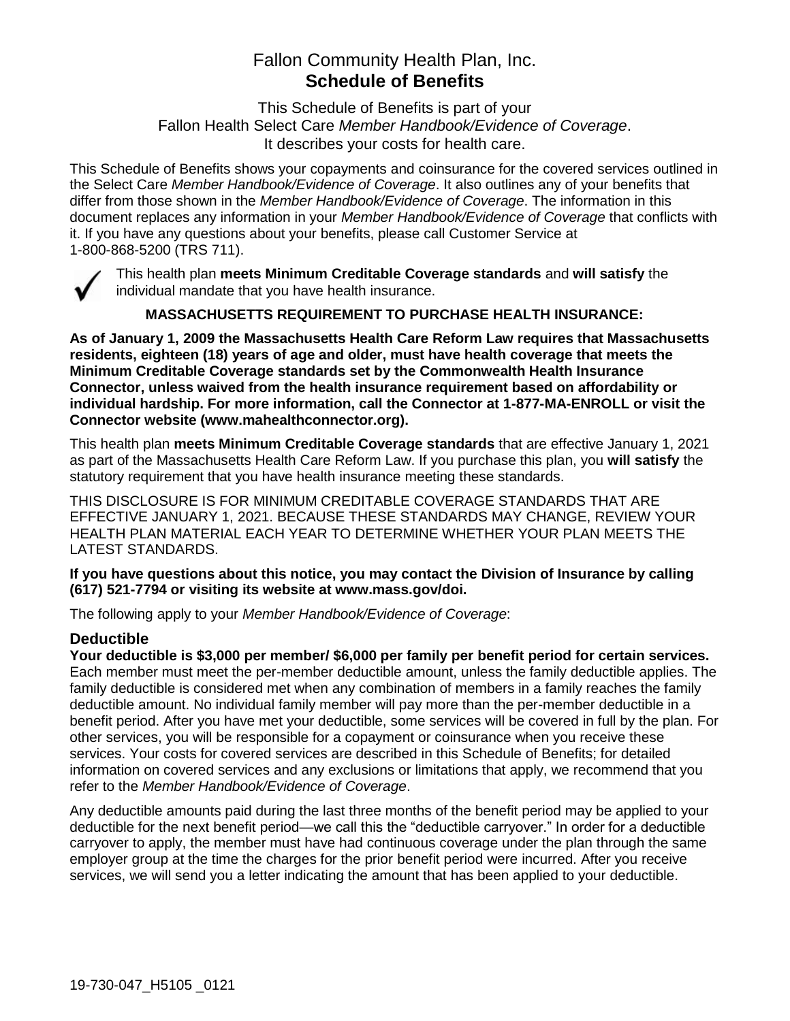# Fallon Community Health Plan, Inc. **Schedule of Benefits**

This Schedule of Benefits is part of your Fallon Health Select Care *Member Handbook/Evidence of Coverage*. It describes your costs for health care.

This Schedule of Benefits shows your copayments and coinsurance for the covered services outlined in the Select Care *Member Handbook/Evidence of Coverage*. It also outlines any of your benefits that differ from those shown in the *Member Handbook/Evidence of Coverage*. The information in this document replaces any information in your *Member Handbook/Evidence of Coverage* that conflicts with it. If you have any questions about your benefits, please call Customer Service at 1-800-868-5200 (TRS 711).



This health plan **meets Minimum Creditable Coverage standards** and **will satisfy** the individual mandate that you have health insurance.

**MASSACHUSETTS REQUIREMENT TO PURCHASE HEALTH INSURANCE:**

**As of January 1, 2009 the Massachusetts Health Care Reform Law requires that Massachusetts residents, eighteen (18) years of age and older, must have health coverage that meets the Minimum Creditable Coverage standards set by the Commonwealth Health Insurance Connector, unless waived from the health insurance requirement based on affordability or individual hardship. For more information, call the Connector at 1-877-MA-ENROLL or visit the Connector website (www.mahealthconnector.org).**

This health plan **meets Minimum Creditable Coverage standards** that are effective January 1, 2021 as part of the Massachusetts Health Care Reform Law. If you purchase this plan, you **will satisfy** the statutory requirement that you have health insurance meeting these standards.

THIS DISCLOSURE IS FOR MINIMUM CREDITABLE COVERAGE STANDARDS THAT ARE EFFECTIVE JANUARY 1, 2021. BECAUSE THESE STANDARDS MAY CHANGE, REVIEW YOUR HEALTH PLAN MATERIAL EACH YEAR TO DETERMINE WHETHER YOUR PLAN MEETS THE LATEST STANDARDS.

**If you have questions about this notice, you may contact the Division of Insurance by calling (617) 521-7794 or visiting its website at www.mass.gov/doi.** 

The following apply to your *Member Handbook/Evidence of Coverage*:

## **Deductible**

**Your deductible is \$3,000 per member/ \$6,000 per family per benefit period for certain services.** Each member must meet the per-member deductible amount, unless the family deductible applies. The family deductible is considered met when any combination of members in a family reaches the family deductible amount. No individual family member will pay more than the per-member deductible in a benefit period. After you have met your deductible, some services will be covered in full by the plan. For other services, you will be responsible for a copayment or coinsurance when you receive these services. Your costs for covered services are described in this Schedule of Benefits; for detailed information on covered services and any exclusions or limitations that apply, we recommend that you refer to the *Member Handbook/Evidence of Coverage*.

Any deductible amounts paid during the last three months of the benefit period may be applied to your deductible for the next benefit period—we call this the "deductible carryover." In order for a deductible carryover to apply, the member must have had continuous coverage under the plan through the same employer group at the time the charges for the prior benefit period were incurred. After you receive services, we will send you a letter indicating the amount that has been applied to your deductible.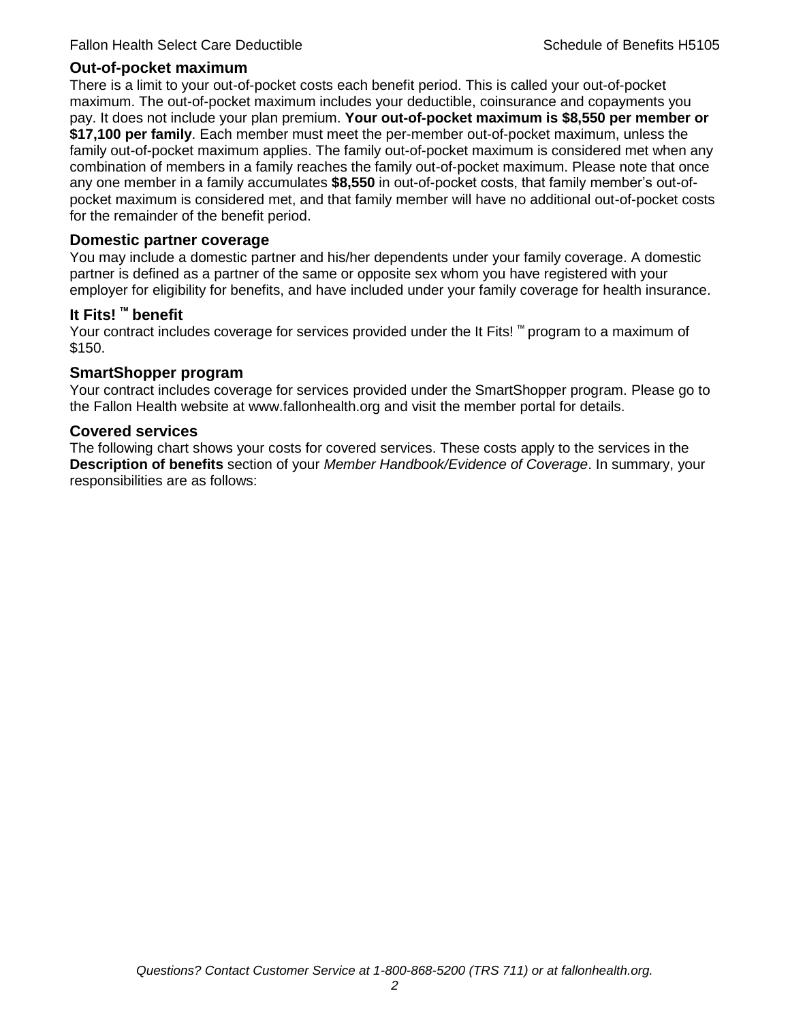#### **Out-of-pocket maximum**

There is a limit to your out-of-pocket costs each benefit period. This is called your out-of-pocket maximum. The out-of-pocket maximum includes your deductible, coinsurance and copayments you pay. It does not include your plan premium. **Your out-of-pocket maximum is \$8,550 per member or \$17,100 per family**. Each member must meet the per-member out-of-pocket maximum, unless the family out-of-pocket maximum applies. The family out-of-pocket maximum is considered met when any combination of members in a family reaches the family out-of-pocket maximum. Please note that once any one member in a family accumulates **\$8,550** in out-of-pocket costs, that family member's out-ofpocket maximum is considered met, and that family member will have no additional out-of-pocket costs for the remainder of the benefit period.

#### **Domestic partner coverage**

You may include a domestic partner and his/her dependents under your family coverage. A domestic partner is defined as a partner of the same or opposite sex whom you have registered with your employer for eligibility for benefits, and have included under your family coverage for health insurance.

#### **It Fits! ™ benefit**

Your contract includes coverage for services provided under the It Fits! ™ program to a maximum of \$150.

#### **SmartShopper program**

Your contract includes coverage for services provided under the SmartShopper program. Please go to the Fallon Health website at www.fallonhealth.org and visit the member portal for details.

#### **Covered services**

The following chart shows your costs for covered services. These costs apply to the services in the **Description of benefits** section of your *Member Handbook/Evidence of Coverage*. In summary, your responsibilities are as follows: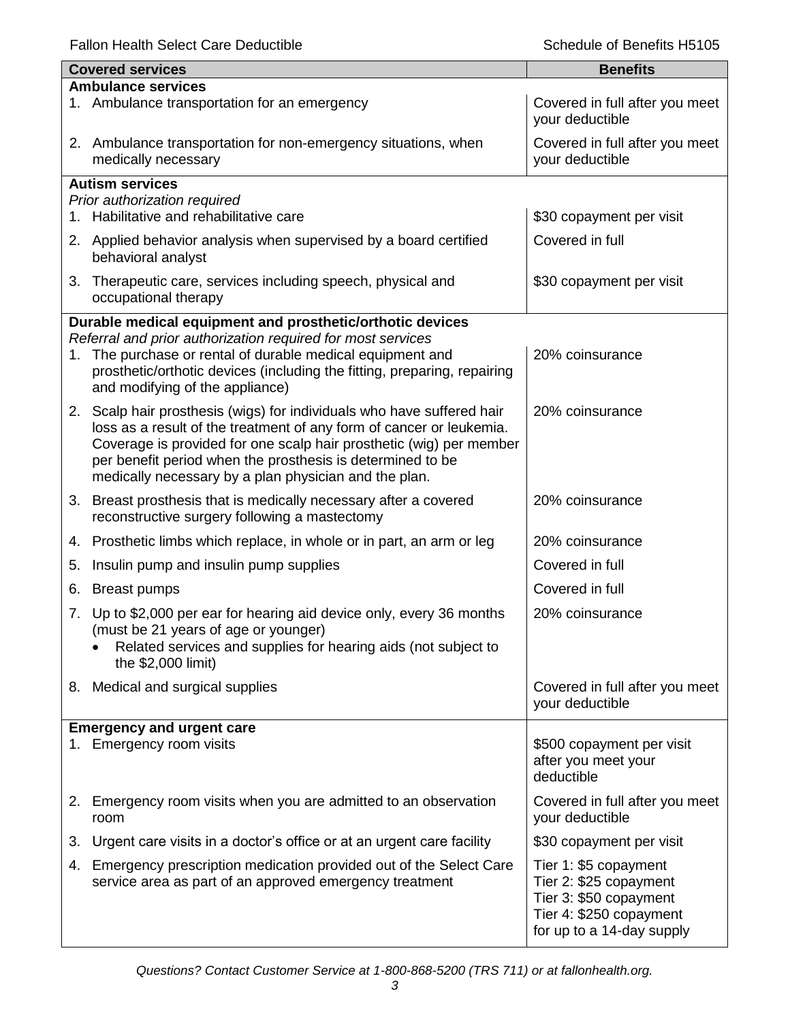|    | <b>Covered services</b>                                                                                                                                                   | <b>Benefits</b>                                   |
|----|---------------------------------------------------------------------------------------------------------------------------------------------------------------------------|---------------------------------------------------|
|    | <b>Ambulance services</b>                                                                                                                                                 |                                                   |
|    | 1. Ambulance transportation for an emergency                                                                                                                              | Covered in full after you meet<br>your deductible |
|    | 2. Ambulance transportation for non-emergency situations, when<br>medically necessary                                                                                     | Covered in full after you meet<br>your deductible |
|    | <b>Autism services</b>                                                                                                                                                    |                                                   |
|    | Prior authorization required                                                                                                                                              |                                                   |
|    | 1. Habilitative and rehabilitative care                                                                                                                                   | \$30 copayment per visit                          |
|    | 2. Applied behavior analysis when supervised by a board certified<br>behavioral analyst                                                                                   | Covered in full                                   |
|    | 3. Therapeutic care, services including speech, physical and<br>occupational therapy                                                                                      | \$30 copayment per visit                          |
|    | Durable medical equipment and prosthetic/orthotic devices                                                                                                                 |                                                   |
|    | Referral and prior authorization required for most services                                                                                                               |                                                   |
|    | 1. The purchase or rental of durable medical equipment and<br>prosthetic/orthotic devices (including the fitting, preparing, repairing<br>and modifying of the appliance) | 20% coinsurance                                   |
|    | 2. Scalp hair prosthesis (wigs) for individuals who have suffered hair                                                                                                    | 20% coinsurance                                   |
|    | loss as a result of the treatment of any form of cancer or leukemia.                                                                                                      |                                                   |
|    | Coverage is provided for one scalp hair prosthetic (wig) per member                                                                                                       |                                                   |
|    | per benefit period when the prosthesis is determined to be                                                                                                                |                                                   |
|    | medically necessary by a plan physician and the plan.                                                                                                                     |                                                   |
|    | 3. Breast prosthesis that is medically necessary after a covered<br>reconstructive surgery following a mastectomy                                                         | 20% coinsurance                                   |
|    | 4. Prosthetic limbs which replace, in whole or in part, an arm or leg                                                                                                     | 20% coinsurance                                   |
| 5. | Insulin pump and insulin pump supplies                                                                                                                                    | Covered in full                                   |
| 6. | <b>Breast pumps</b>                                                                                                                                                       | Covered in full                                   |
| 7. | Up to \$2,000 per ear for hearing aid device only, every 36 months                                                                                                        | 20% coinsurance                                   |
|    | (must be 21 years of age or younger)                                                                                                                                      |                                                   |
|    | Related services and supplies for hearing aids (not subject to<br>the \$2,000 limit)                                                                                      |                                                   |
|    |                                                                                                                                                                           |                                                   |
|    | 8. Medical and surgical supplies                                                                                                                                          | Covered in full after you meet<br>your deductible |
|    |                                                                                                                                                                           |                                                   |
|    | <b>Emergency and urgent care</b>                                                                                                                                          |                                                   |
|    | 1. Emergency room visits                                                                                                                                                  | \$500 copayment per visit<br>after you meet your  |
|    |                                                                                                                                                                           | deductible                                        |
|    |                                                                                                                                                                           |                                                   |
|    | 2. Emergency room visits when you are admitted to an observation<br>room                                                                                                  | Covered in full after you meet<br>your deductible |
| 3. | Urgent care visits in a doctor's office or at an urgent care facility                                                                                                     | \$30 copayment per visit                          |
| 4. | Emergency prescription medication provided out of the Select Care                                                                                                         | Tier 1: \$5 copayment                             |
|    | service area as part of an approved emergency treatment                                                                                                                   | Tier 2: \$25 copayment                            |
|    |                                                                                                                                                                           | Tier 3: \$50 copayment                            |
|    |                                                                                                                                                                           | Tier 4: \$250 copayment                           |
|    |                                                                                                                                                                           | for up to a 14-day supply                         |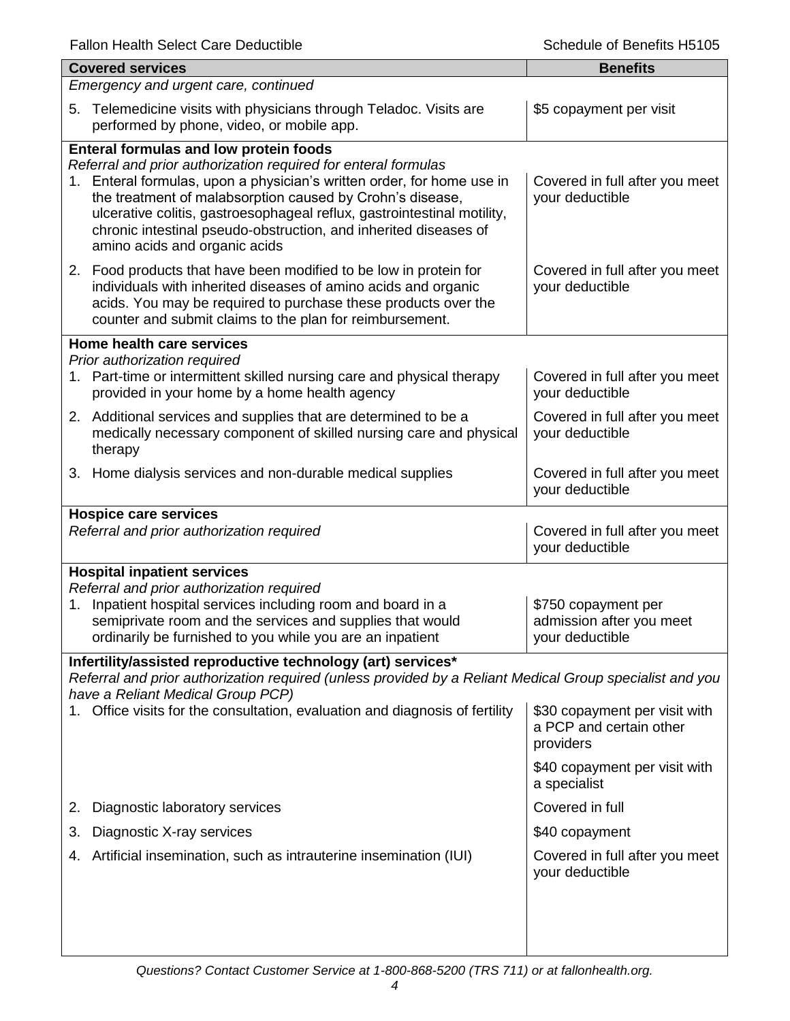| <b>Covered services</b>                                                                                                                                                                                                                                                                                                                                                                                                         | <b>Benefits</b>                                                       |  |  |
|---------------------------------------------------------------------------------------------------------------------------------------------------------------------------------------------------------------------------------------------------------------------------------------------------------------------------------------------------------------------------------------------------------------------------------|-----------------------------------------------------------------------|--|--|
| Emergency and urgent care, continued                                                                                                                                                                                                                                                                                                                                                                                            |                                                                       |  |  |
| Telemedicine visits with physicians through Teladoc. Visits are<br>5.<br>performed by phone, video, or mobile app.                                                                                                                                                                                                                                                                                                              | \$5 copayment per visit                                               |  |  |
| Enteral formulas and low protein foods<br>Referral and prior authorization required for enteral formulas<br>1. Enteral formulas, upon a physician's written order, for home use in<br>the treatment of malabsorption caused by Crohn's disease,<br>ulcerative colitis, gastroesophageal reflux, gastrointestinal motility,<br>chronic intestinal pseudo-obstruction, and inherited diseases of<br>amino acids and organic acids | Covered in full after you meet<br>your deductible                     |  |  |
| 2. Food products that have been modified to be low in protein for<br>individuals with inherited diseases of amino acids and organic<br>acids. You may be required to purchase these products over the<br>counter and submit claims to the plan for reimbursement.                                                                                                                                                               | Covered in full after you meet<br>your deductible                     |  |  |
| Home health care services                                                                                                                                                                                                                                                                                                                                                                                                       |                                                                       |  |  |
| Prior authorization required<br>1. Part-time or intermittent skilled nursing care and physical therapy<br>provided in your home by a home health agency                                                                                                                                                                                                                                                                         | Covered in full after you meet<br>your deductible                     |  |  |
| 2. Additional services and supplies that are determined to be a<br>medically necessary component of skilled nursing care and physical<br>therapy                                                                                                                                                                                                                                                                                | Covered in full after you meet<br>your deductible                     |  |  |
| 3. Home dialysis services and non-durable medical supplies                                                                                                                                                                                                                                                                                                                                                                      | Covered in full after you meet<br>your deductible                     |  |  |
| <b>Hospice care services</b><br>Referral and prior authorization required                                                                                                                                                                                                                                                                                                                                                       | Covered in full after you meet<br>your deductible                     |  |  |
| <b>Hospital inpatient services</b>                                                                                                                                                                                                                                                                                                                                                                                              |                                                                       |  |  |
| Referral and prior authorization required<br>Inpatient hospital services including room and board in a<br>1.<br>semiprivate room and the services and supplies that would<br>ordinarily be furnished to you while you are an inpatient                                                                                                                                                                                          | \$750 copayment per<br>admission after you meet<br>your deductible    |  |  |
| Infertility/assisted reproductive technology (art) services*<br>Referral and prior authorization required (unless provided by a Reliant Medical Group specialist and you                                                                                                                                                                                                                                                        |                                                                       |  |  |
| have a Reliant Medical Group PCP)<br>Office visits for the consultation, evaluation and diagnosis of fertility                                                                                                                                                                                                                                                                                                                  | \$30 copayment per visit with<br>a PCP and certain other<br>providers |  |  |
|                                                                                                                                                                                                                                                                                                                                                                                                                                 | \$40 copayment per visit with<br>a specialist                         |  |  |
| Diagnostic laboratory services<br>2.                                                                                                                                                                                                                                                                                                                                                                                            | Covered in full                                                       |  |  |
| Diagnostic X-ray services<br>3.                                                                                                                                                                                                                                                                                                                                                                                                 | \$40 copayment                                                        |  |  |
| Artificial insemination, such as intrauterine insemination (IUI)<br>4.                                                                                                                                                                                                                                                                                                                                                          | Covered in full after you meet<br>your deductible                     |  |  |
|                                                                                                                                                                                                                                                                                                                                                                                                                                 |                                                                       |  |  |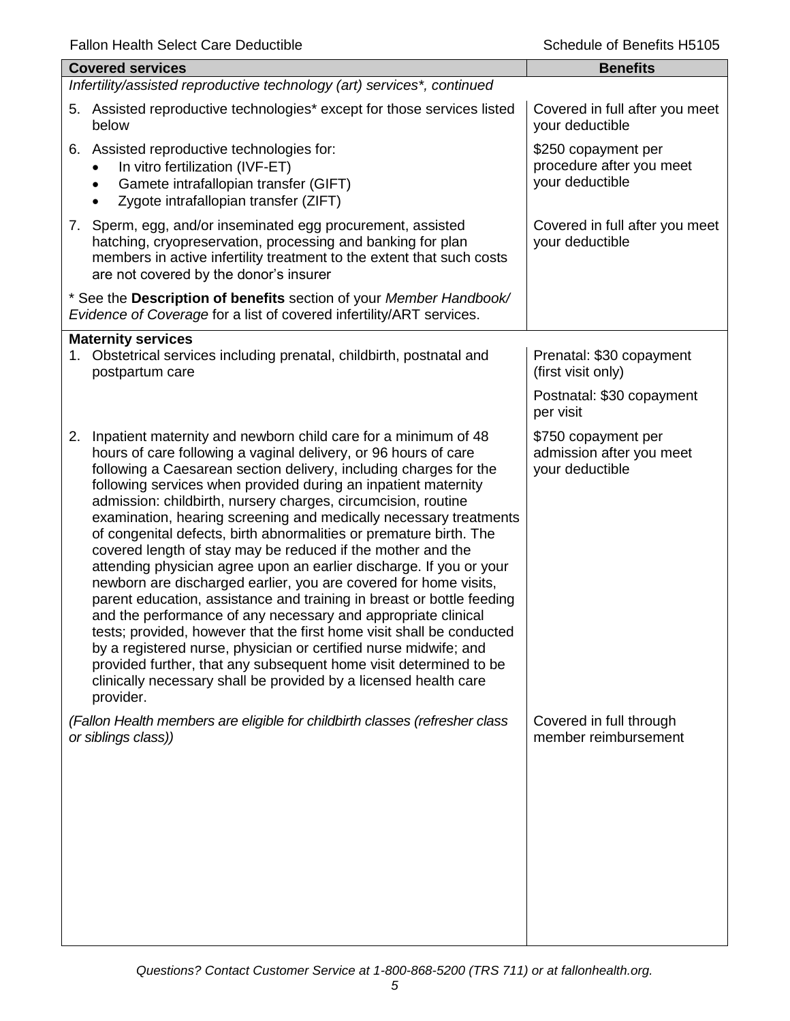| ally Hours Ocioci Odio Dougoubic                                                                                                                                                                                                                                                                                                                                                                                                                                                                                                                                                                                                                                                                                                                                                                                                                                                                                                                                                                                                                                                                                                                  | <u>iuuuiu ol Dullullu Liu l</u>                                         |  |  |  |
|---------------------------------------------------------------------------------------------------------------------------------------------------------------------------------------------------------------------------------------------------------------------------------------------------------------------------------------------------------------------------------------------------------------------------------------------------------------------------------------------------------------------------------------------------------------------------------------------------------------------------------------------------------------------------------------------------------------------------------------------------------------------------------------------------------------------------------------------------------------------------------------------------------------------------------------------------------------------------------------------------------------------------------------------------------------------------------------------------------------------------------------------------|-------------------------------------------------------------------------|--|--|--|
| <b>Covered services</b>                                                                                                                                                                                                                                                                                                                                                                                                                                                                                                                                                                                                                                                                                                                                                                                                                                                                                                                                                                                                                                                                                                                           | <b>Benefits</b>                                                         |  |  |  |
|                                                                                                                                                                                                                                                                                                                                                                                                                                                                                                                                                                                                                                                                                                                                                                                                                                                                                                                                                                                                                                                                                                                                                   | Infertility/assisted reproductive technology (art) services*, continued |  |  |  |
| 5. Assisted reproductive technologies* except for those services listed<br>below                                                                                                                                                                                                                                                                                                                                                                                                                                                                                                                                                                                                                                                                                                                                                                                                                                                                                                                                                                                                                                                                  | Covered in full after you meet<br>your deductible                       |  |  |  |
| 6. Assisted reproductive technologies for:<br>In vitro fertilization (IVF-ET)<br>Gamete intrafallopian transfer (GIFT)<br>$\bullet$<br>Zygote intrafallopian transfer (ZIFT)                                                                                                                                                                                                                                                                                                                                                                                                                                                                                                                                                                                                                                                                                                                                                                                                                                                                                                                                                                      | \$250 copayment per<br>procedure after you meet<br>your deductible      |  |  |  |
| 7. Sperm, egg, and/or inseminated egg procurement, assisted<br>hatching, cryopreservation, processing and banking for plan<br>members in active infertility treatment to the extent that such costs<br>are not covered by the donor's insurer                                                                                                                                                                                                                                                                                                                                                                                                                                                                                                                                                                                                                                                                                                                                                                                                                                                                                                     | Covered in full after you meet<br>your deductible                       |  |  |  |
| * See the Description of benefits section of your Member Handbook/<br>Evidence of Coverage for a list of covered infertility/ART services.                                                                                                                                                                                                                                                                                                                                                                                                                                                                                                                                                                                                                                                                                                                                                                                                                                                                                                                                                                                                        |                                                                         |  |  |  |
| <b>Maternity services</b>                                                                                                                                                                                                                                                                                                                                                                                                                                                                                                                                                                                                                                                                                                                                                                                                                                                                                                                                                                                                                                                                                                                         |                                                                         |  |  |  |
| 1. Obstetrical services including prenatal, childbirth, postnatal and<br>postpartum care                                                                                                                                                                                                                                                                                                                                                                                                                                                                                                                                                                                                                                                                                                                                                                                                                                                                                                                                                                                                                                                          | Prenatal: \$30 copayment<br>(first visit only)                          |  |  |  |
|                                                                                                                                                                                                                                                                                                                                                                                                                                                                                                                                                                                                                                                                                                                                                                                                                                                                                                                                                                                                                                                                                                                                                   | Postnatal: \$30 copayment<br>per visit                                  |  |  |  |
| Inpatient maternity and newborn child care for a minimum of 48<br>2.<br>hours of care following a vaginal delivery, or 96 hours of care<br>following a Caesarean section delivery, including charges for the<br>following services when provided during an inpatient maternity<br>admission: childbirth, nursery charges, circumcision, routine<br>examination, hearing screening and medically necessary treatments<br>of congenital defects, birth abnormalities or premature birth. The<br>covered length of stay may be reduced if the mother and the<br>attending physician agree upon an earlier discharge. If you or your<br>newborn are discharged earlier, you are covered for home visits,<br>parent education, assistance and training in breast or bottle feeding<br>and the performance of any necessary and appropriate clinical<br>tests; provided, however that the first home visit shall be conducted<br>by a registered nurse, physician or certified nurse midwife; and<br>provided further, that any subsequent home visit determined to be<br>clinically necessary shall be provided by a licensed health care<br>provider. | \$750 copayment per<br>admission after you meet<br>your deductible      |  |  |  |
| (Fallon Health members are eligible for childbirth classes (refresher class<br>or siblings class))                                                                                                                                                                                                                                                                                                                                                                                                                                                                                                                                                                                                                                                                                                                                                                                                                                                                                                                                                                                                                                                | Covered in full through<br>member reimbursement                         |  |  |  |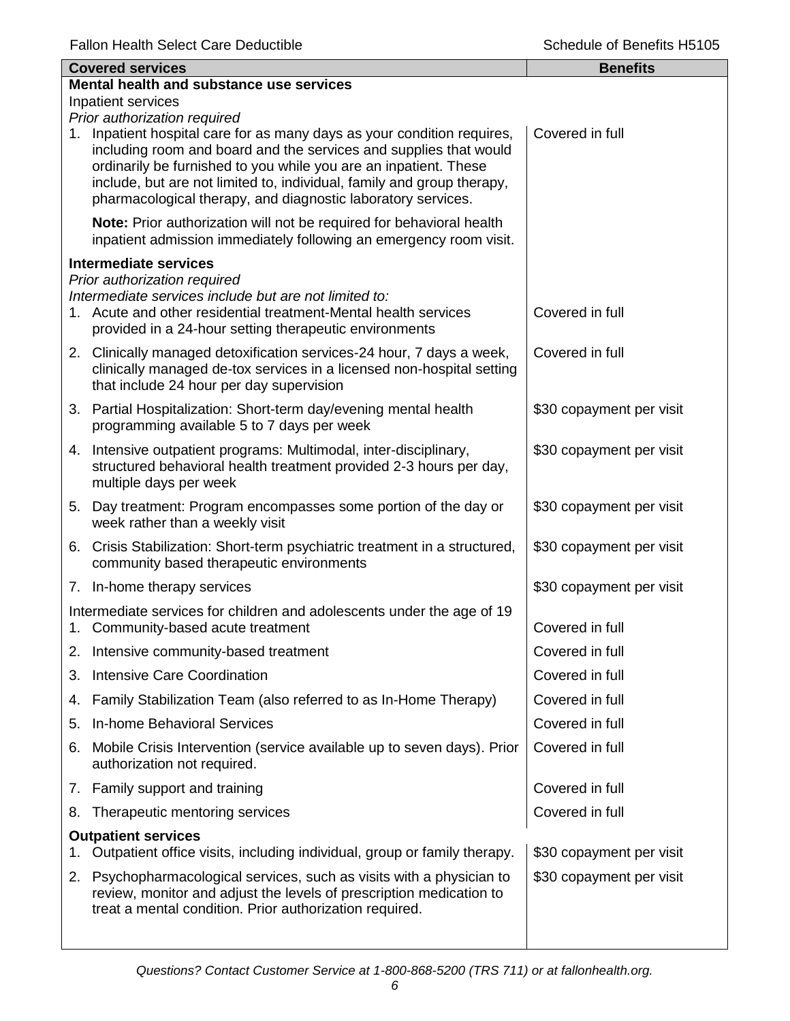|    | <b>Covered services</b>                                                                                                                                                                                                                                                                                                                                 | <b>Benefits</b>          |
|----|---------------------------------------------------------------------------------------------------------------------------------------------------------------------------------------------------------------------------------------------------------------------------------------------------------------------------------------------------------|--------------------------|
|    | Mental health and substance use services                                                                                                                                                                                                                                                                                                                |                          |
|    | Inpatient services<br>Prior authorization required                                                                                                                                                                                                                                                                                                      |                          |
| 1. | Inpatient hospital care for as many days as your condition requires,<br>including room and board and the services and supplies that would<br>ordinarily be furnished to you while you are an inpatient. These<br>include, but are not limited to, individual, family and group therapy,<br>pharmacological therapy, and diagnostic laboratory services. | Covered in full          |
|    | Note: Prior authorization will not be required for behavioral health<br>inpatient admission immediately following an emergency room visit.                                                                                                                                                                                                              |                          |
|    | <b>Intermediate services</b>                                                                                                                                                                                                                                                                                                                            |                          |
|    | Prior authorization required<br>Intermediate services include but are not limited to:<br>1. Acute and other residential treatment-Mental health services<br>provided in a 24-hour setting therapeutic environments                                                                                                                                      | Covered in full          |
|    | 2. Clinically managed detoxification services-24 hour, 7 days a week,<br>clinically managed de-tox services in a licensed non-hospital setting<br>that include 24 hour per day supervision                                                                                                                                                              | Covered in full          |
|    | 3. Partial Hospitalization: Short-term day/evening mental health<br>programming available 5 to 7 days per week                                                                                                                                                                                                                                          | \$30 copayment per visit |
|    | 4. Intensive outpatient programs: Multimodal, inter-disciplinary,<br>structured behavioral health treatment provided 2-3 hours per day,<br>multiple days per week                                                                                                                                                                                       | \$30 copayment per visit |
|    | 5. Day treatment: Program encompasses some portion of the day or<br>week rather than a weekly visit                                                                                                                                                                                                                                                     | \$30 copayment per visit |
|    | 6. Crisis Stabilization: Short-term psychiatric treatment in a structured,<br>community based therapeutic environments                                                                                                                                                                                                                                  | \$30 copayment per visit |
|    | 7. In-home therapy services                                                                                                                                                                                                                                                                                                                             | \$30 copayment per visit |
|    | Intermediate services for children and adolescents under the age of 19<br>1. Community-based acute treatment                                                                                                                                                                                                                                            | Covered in full          |
|    | 2. Intensive community-based treatment                                                                                                                                                                                                                                                                                                                  | Covered in full          |
| З. | <b>Intensive Care Coordination</b>                                                                                                                                                                                                                                                                                                                      | Covered in full          |
| 4. | Family Stabilization Team (also referred to as In-Home Therapy)                                                                                                                                                                                                                                                                                         | Covered in full          |
| 5. | <b>In-home Behavioral Services</b>                                                                                                                                                                                                                                                                                                                      | Covered in full          |
| 6. | Mobile Crisis Intervention (service available up to seven days). Prior<br>authorization not required.                                                                                                                                                                                                                                                   | Covered in full          |
|    | 7. Family support and training                                                                                                                                                                                                                                                                                                                          | Covered in full          |
| 8. | Therapeutic mentoring services                                                                                                                                                                                                                                                                                                                          | Covered in full          |
|    | <b>Outpatient services</b><br>Outpatient office visits, including individual, group or family therapy.                                                                                                                                                                                                                                                  | \$30 copayment per visit |
| 2. | Psychopharmacological services, such as visits with a physician to<br>review, monitor and adjust the levels of prescription medication to<br>treat a mental condition. Prior authorization required.                                                                                                                                                    | \$30 copayment per visit |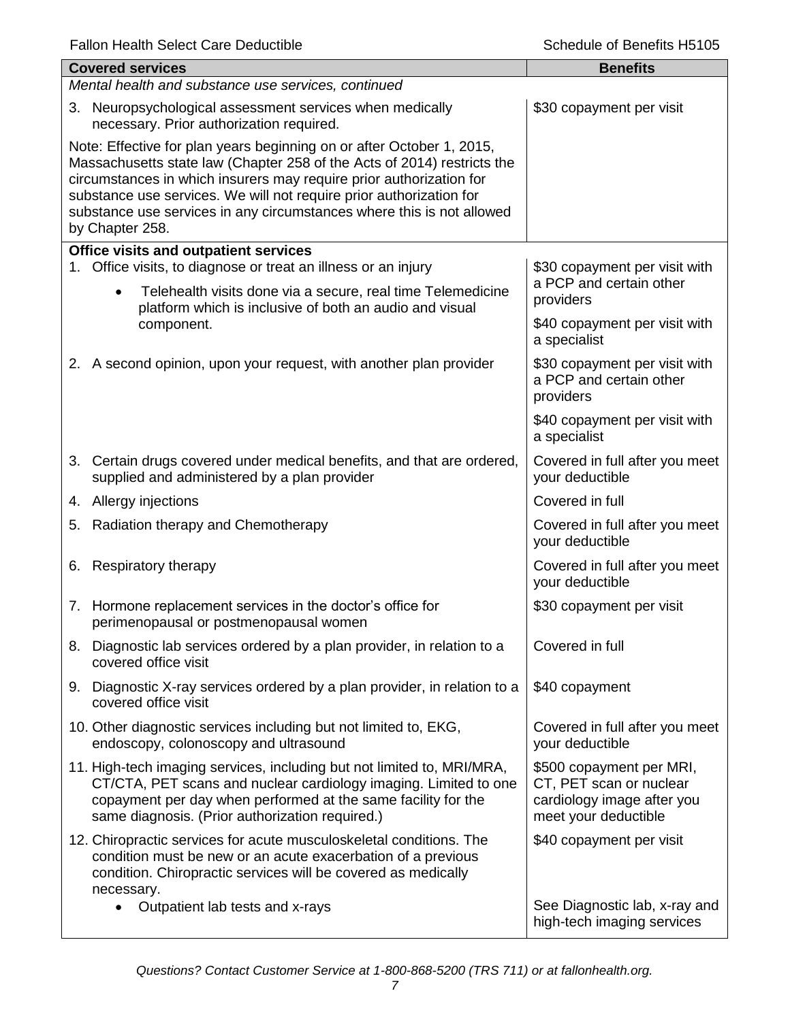|    | <b>Covered services</b>                                                                                                                                                                                                                                                                                                                                                                    | <b>Benefits</b>                                                                                           |
|----|--------------------------------------------------------------------------------------------------------------------------------------------------------------------------------------------------------------------------------------------------------------------------------------------------------------------------------------------------------------------------------------------|-----------------------------------------------------------------------------------------------------------|
|    | Mental health and substance use services, continued                                                                                                                                                                                                                                                                                                                                        |                                                                                                           |
|    | 3. Neuropsychological assessment services when medically<br>necessary. Prior authorization required.                                                                                                                                                                                                                                                                                       | \$30 copayment per visit                                                                                  |
|    | Note: Effective for plan years beginning on or after October 1, 2015,<br>Massachusetts state law (Chapter 258 of the Acts of 2014) restricts the<br>circumstances in which insurers may require prior authorization for<br>substance use services. We will not require prior authorization for<br>substance use services in any circumstances where this is not allowed<br>by Chapter 258. |                                                                                                           |
|    | <b>Office visits and outpatient services</b>                                                                                                                                                                                                                                                                                                                                               |                                                                                                           |
|    | 1. Office visits, to diagnose or treat an illness or an injury<br>Telehealth visits done via a secure, real time Telemedicine<br>$\bullet$                                                                                                                                                                                                                                                 | \$30 copayment per visit with<br>a PCP and certain other<br>providers                                     |
|    | platform which is inclusive of both an audio and visual<br>component.                                                                                                                                                                                                                                                                                                                      | \$40 copayment per visit with<br>a specialist                                                             |
|    | 2. A second opinion, upon your request, with another plan provider                                                                                                                                                                                                                                                                                                                         | \$30 copayment per visit with<br>a PCP and certain other<br>providers                                     |
|    |                                                                                                                                                                                                                                                                                                                                                                                            | \$40 copayment per visit with<br>a specialist                                                             |
|    | 3. Certain drugs covered under medical benefits, and that are ordered,<br>supplied and administered by a plan provider                                                                                                                                                                                                                                                                     | Covered in full after you meet<br>your deductible                                                         |
|    | 4. Allergy injections                                                                                                                                                                                                                                                                                                                                                                      | Covered in full                                                                                           |
| 5. | Radiation therapy and Chemotherapy                                                                                                                                                                                                                                                                                                                                                         | Covered in full after you meet<br>your deductible                                                         |
| 6. | <b>Respiratory therapy</b>                                                                                                                                                                                                                                                                                                                                                                 | Covered in full after you meet<br>your deductible                                                         |
|    | 7. Hormone replacement services in the doctor's office for<br>perimenopausal or postmenopausal women                                                                                                                                                                                                                                                                                       | \$30 copayment per visit                                                                                  |
|    | 8. Diagnostic lab services ordered by a plan provider, in relation to a<br>covered office visit                                                                                                                                                                                                                                                                                            | Covered in full                                                                                           |
|    | 9. Diagnostic X-ray services ordered by a plan provider, in relation to a<br>covered office visit                                                                                                                                                                                                                                                                                          | \$40 copayment                                                                                            |
|    | 10. Other diagnostic services including but not limited to, EKG,<br>endoscopy, colonoscopy and ultrasound                                                                                                                                                                                                                                                                                  | Covered in full after you meet<br>your deductible                                                         |
|    | 11. High-tech imaging services, including but not limited to, MRI/MRA,<br>CT/CTA, PET scans and nuclear cardiology imaging. Limited to one<br>copayment per day when performed at the same facility for the<br>same diagnosis. (Prior authorization required.)                                                                                                                             | \$500 copayment per MRI,<br>CT, PET scan or nuclear<br>cardiology image after you<br>meet your deductible |
|    | 12. Chiropractic services for acute musculoskeletal conditions. The<br>condition must be new or an acute exacerbation of a previous<br>condition. Chiropractic services will be covered as medically<br>necessary.                                                                                                                                                                         | \$40 copayment per visit                                                                                  |
|    | Outpatient lab tests and x-rays<br>$\bullet$                                                                                                                                                                                                                                                                                                                                               | See Diagnostic lab, x-ray and<br>high-tech imaging services                                               |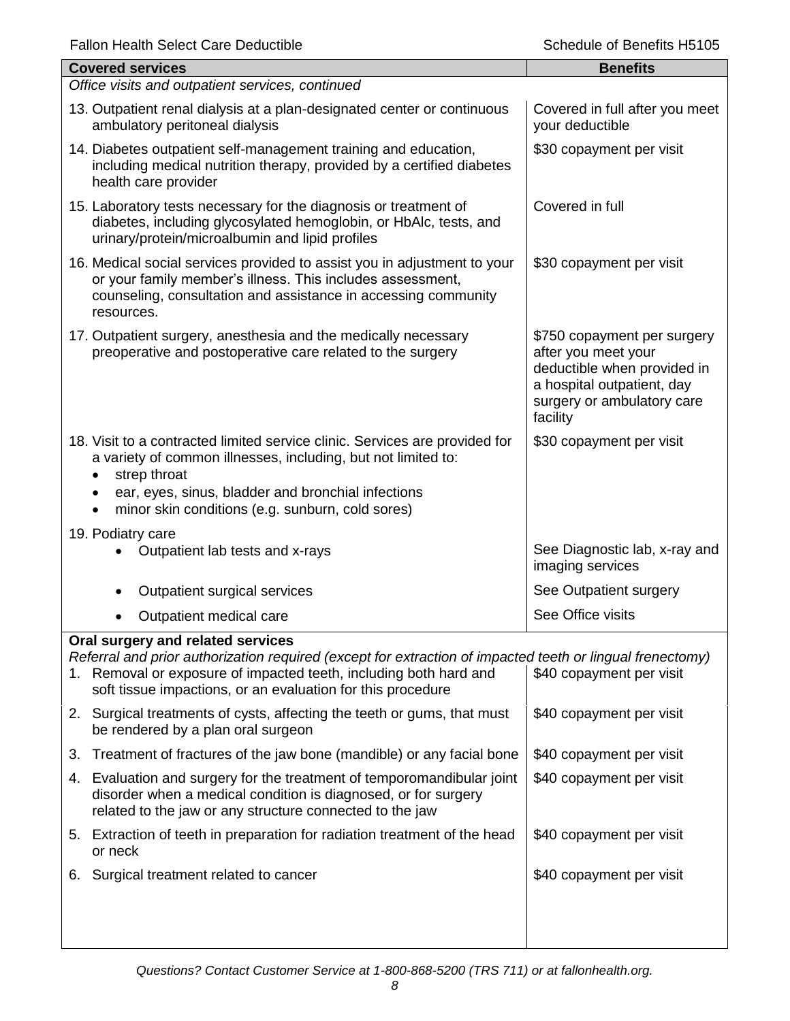| <b>Covered services</b>                                                                                                                                                                                                                                                | <b>Benefits</b>                                                                                                                                           |
|------------------------------------------------------------------------------------------------------------------------------------------------------------------------------------------------------------------------------------------------------------------------|-----------------------------------------------------------------------------------------------------------------------------------------------------------|
| Office visits and outpatient services, continued                                                                                                                                                                                                                       |                                                                                                                                                           |
| 13. Outpatient renal dialysis at a plan-designated center or continuous<br>ambulatory peritoneal dialysis                                                                                                                                                              | Covered in full after you meet<br>your deductible                                                                                                         |
| 14. Diabetes outpatient self-management training and education,<br>including medical nutrition therapy, provided by a certified diabetes<br>health care provider                                                                                                       | \$30 copayment per visit                                                                                                                                  |
| 15. Laboratory tests necessary for the diagnosis or treatment of<br>diabetes, including glycosylated hemoglobin, or HbAlc, tests, and<br>urinary/protein/microalbumin and lipid profiles                                                                               | Covered in full                                                                                                                                           |
| 16. Medical social services provided to assist you in adjustment to your<br>or your family member's illness. This includes assessment,<br>counseling, consultation and assistance in accessing community<br>resources.                                                 | \$30 copayment per visit                                                                                                                                  |
| 17. Outpatient surgery, anesthesia and the medically necessary<br>preoperative and postoperative care related to the surgery                                                                                                                                           | \$750 copayment per surgery<br>after you meet your<br>deductible when provided in<br>a hospital outpatient, day<br>surgery or ambulatory care<br>facility |
| 18. Visit to a contracted limited service clinic. Services are provided for<br>a variety of common illnesses, including, but not limited to:<br>strep throat<br>ear, eyes, sinus, bladder and bronchial infections<br>minor skin conditions (e.g. sunburn, cold sores) | \$30 copayment per visit                                                                                                                                  |
| 19. Podiatry care                                                                                                                                                                                                                                                      |                                                                                                                                                           |
| Outpatient lab tests and x-rays                                                                                                                                                                                                                                        | See Diagnostic lab, x-ray and<br>imaging services                                                                                                         |
| Outpatient surgical services<br>٠                                                                                                                                                                                                                                      | See Outpatient surgery                                                                                                                                    |
| Outpatient medical care<br>٠                                                                                                                                                                                                                                           | See Office visits                                                                                                                                         |
| Oral surgery and related services                                                                                                                                                                                                                                      |                                                                                                                                                           |
| Referral and prior authorization required (except for extraction of impacted teeth or lingual frenectomy)<br>1. Removal or exposure of impacted teeth, including both hard and<br>soft tissue impactions, or an evaluation for this procedure                          | \$40 copayment per visit                                                                                                                                  |
| 2. Surgical treatments of cysts, affecting the teeth or gums, that must<br>be rendered by a plan oral surgeon                                                                                                                                                          | \$40 copayment per visit                                                                                                                                  |
| Treatment of fractures of the jaw bone (mandible) or any facial bone<br>3.                                                                                                                                                                                             | \$40 copayment per visit                                                                                                                                  |
| 4. Evaluation and surgery for the treatment of temporomandibular joint<br>disorder when a medical condition is diagnosed, or for surgery<br>related to the jaw or any structure connected to the jaw                                                                   | \$40 copayment per visit                                                                                                                                  |
| 5. Extraction of teeth in preparation for radiation treatment of the head<br>or neck                                                                                                                                                                                   | \$40 copayment per visit                                                                                                                                  |
| Surgical treatment related to cancer<br>6.                                                                                                                                                                                                                             | \$40 copayment per visit                                                                                                                                  |
|                                                                                                                                                                                                                                                                        |                                                                                                                                                           |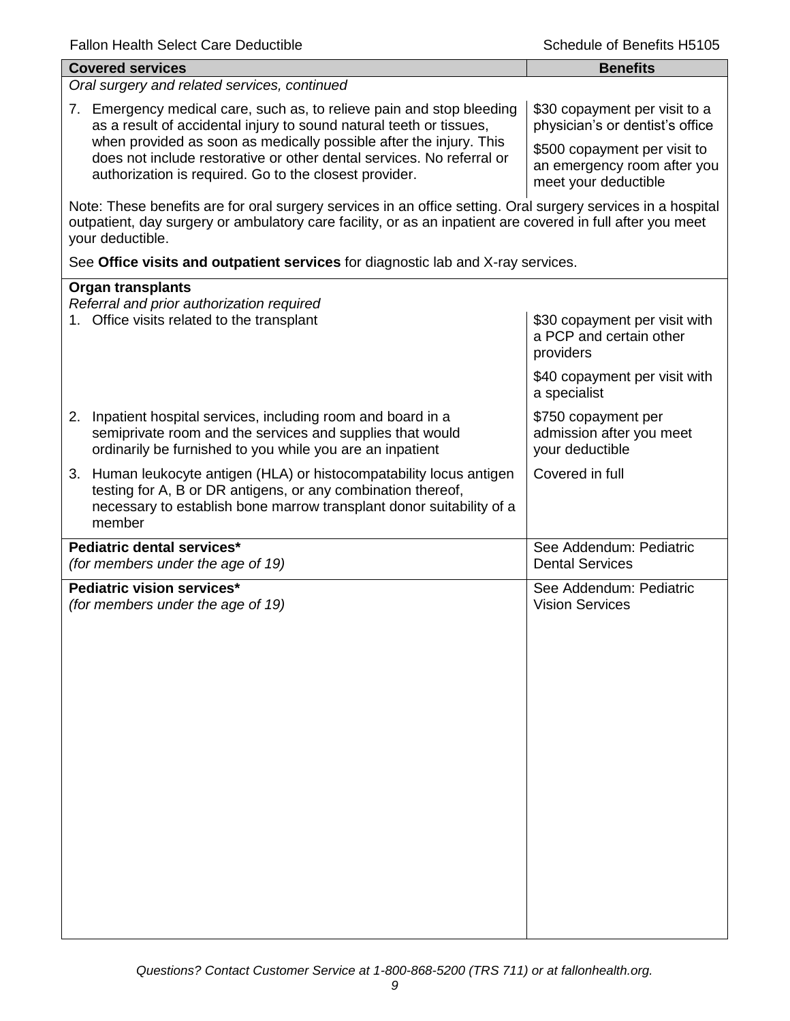| alivi i Tuditi i Ocitut Oditi Duud                                                                                                                                                                                                             | 100010 01 DONOHO 1 10                                                               |
|------------------------------------------------------------------------------------------------------------------------------------------------------------------------------------------------------------------------------------------------|-------------------------------------------------------------------------------------|
| <b>Covered services</b>                                                                                                                                                                                                                        | <b>Benefits</b>                                                                     |
| Oral surgery and related services, continued                                                                                                                                                                                                   |                                                                                     |
| 7. Emergency medical care, such as, to relieve pain and stop bleeding<br>as a result of accidental injury to sound natural teeth or tissues,                                                                                                   | \$30 copayment per visit to a<br>physician's or dentist's office                    |
| when provided as soon as medically possible after the injury. This<br>does not include restorative or other dental services. No referral or<br>authorization is required. Go to the closest provider.                                          | \$500 copayment per visit to<br>an emergency room after you<br>meet your deductible |
| Note: These benefits are for oral surgery services in an office setting. Oral surgery services in a hospital<br>outpatient, day surgery or ambulatory care facility, or as an inpatient are covered in full after you meet<br>your deductible. |                                                                                     |
| See Office visits and outpatient services for diagnostic lab and X-ray services.                                                                                                                                                               |                                                                                     |
| <b>Organ transplants</b>                                                                                                                                                                                                                       |                                                                                     |
| Referral and prior authorization required<br>1. Office visits related to the transplant                                                                                                                                                        | \$30 copayment per visit with<br>a PCP and certain other<br>providers               |
|                                                                                                                                                                                                                                                | \$40 copayment per visit with<br>a specialist                                       |
| 2. Inpatient hospital services, including room and board in a<br>semiprivate room and the services and supplies that would<br>ordinarily be furnished to you while you are an inpatient                                                        | \$750 copayment per<br>admission after you meet<br>your deductible                  |
| 3. Human leukocyte antigen (HLA) or histocompatability locus antigen<br>testing for A, B or DR antigens, or any combination thereof,<br>necessary to establish bone marrow transplant donor suitability of a<br>member                         | Covered in full                                                                     |
| Pediatric dental services*<br>(for members under the age of 19)                                                                                                                                                                                | See Addendum: Pediatric<br><b>Dental Services</b>                                   |
| Pediatric vision services*<br>(for members under the age of 19)                                                                                                                                                                                | See Addendum: Pediatric<br><b>Vision Services</b>                                   |
|                                                                                                                                                                                                                                                |                                                                                     |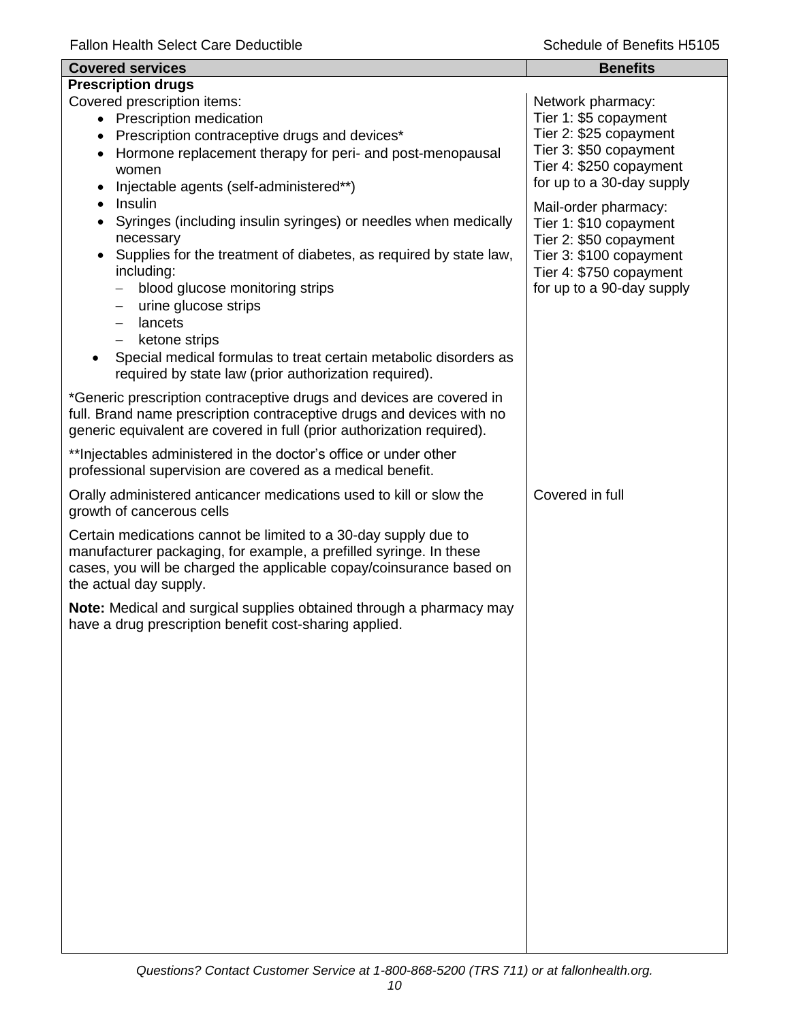| <b>Covered services</b>                                                                                                                                                                                                                 | <b>Benefits</b>                                                                                     |
|-----------------------------------------------------------------------------------------------------------------------------------------------------------------------------------------------------------------------------------------|-----------------------------------------------------------------------------------------------------|
| <b>Prescription drugs</b>                                                                                                                                                                                                               |                                                                                                     |
| Covered prescription items:<br>• Prescription medication                                                                                                                                                                                | Network pharmacy:<br>Tier 1: \$5 copayment                                                          |
| Prescription contraceptive drugs and devices*<br>$\bullet$                                                                                                                                                                              | Tier 2: \$25 copayment                                                                              |
| Hormone replacement therapy for peri- and post-menopausal<br>$\bullet$                                                                                                                                                                  | Tier 3: \$50 copayment                                                                              |
| women                                                                                                                                                                                                                                   | Tier 4: \$250 copayment                                                                             |
| Injectable agents (self-administered**)<br>$\bullet$                                                                                                                                                                                    | for up to a 30-day supply                                                                           |
| Insulin<br>$\bullet$<br>Syringes (including insulin syringes) or needles when medically<br>$\bullet$<br>necessary<br>Supplies for the treatment of diabetes, as required by state law,<br>$\bullet$                                     | Mail-order pharmacy:<br>Tier 1: \$10 copayment<br>Tier 2: \$50 copayment<br>Tier 3: \$100 copayment |
| including:<br>blood glucose monitoring strips<br>urine glucose strips<br>—                                                                                                                                                              | Tier 4: \$750 copayment<br>for up to a 90-day supply                                                |
| lancets<br>$\qquad \qquad -$                                                                                                                                                                                                            |                                                                                                     |
| ketone strips<br>$\overline{\phantom{0}}$<br>Special medical formulas to treat certain metabolic disorders as<br>required by state law (prior authorization required).                                                                  |                                                                                                     |
| *Generic prescription contraceptive drugs and devices are covered in<br>full. Brand name prescription contraceptive drugs and devices with no<br>generic equivalent are covered in full (prior authorization required).                 |                                                                                                     |
| ** Injectables administered in the doctor's office or under other<br>professional supervision are covered as a medical benefit.                                                                                                         |                                                                                                     |
| Orally administered anticancer medications used to kill or slow the<br>growth of cancerous cells                                                                                                                                        | Covered in full                                                                                     |
| Certain medications cannot be limited to a 30-day supply due to<br>manufacturer packaging, for example, a prefilled syringe. In these<br>cases, you will be charged the applicable copay/coinsurance based on<br>the actual day supply. |                                                                                                     |
| Note: Medical and surgical supplies obtained through a pharmacy may<br>have a drug prescription benefit cost-sharing applied.                                                                                                           |                                                                                                     |
|                                                                                                                                                                                                                                         |                                                                                                     |
|                                                                                                                                                                                                                                         |                                                                                                     |
|                                                                                                                                                                                                                                         |                                                                                                     |
|                                                                                                                                                                                                                                         |                                                                                                     |
|                                                                                                                                                                                                                                         |                                                                                                     |
|                                                                                                                                                                                                                                         |                                                                                                     |
|                                                                                                                                                                                                                                         |                                                                                                     |
|                                                                                                                                                                                                                                         |                                                                                                     |
|                                                                                                                                                                                                                                         |                                                                                                     |
|                                                                                                                                                                                                                                         |                                                                                                     |
|                                                                                                                                                                                                                                         |                                                                                                     |
|                                                                                                                                                                                                                                         |                                                                                                     |
|                                                                                                                                                                                                                                         |                                                                                                     |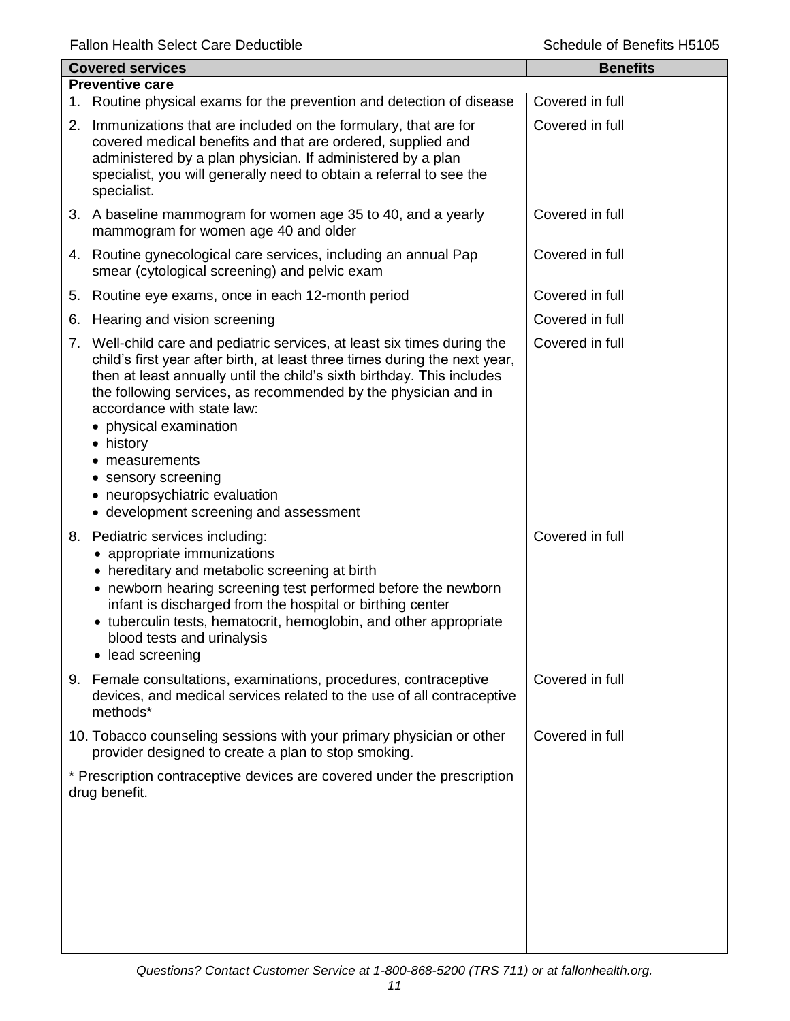| <b>Covered services</b> |                                                                                                                                                                                                                                                                                                                                                                                                                                                                                           | <b>Benefits</b> |
|-------------------------|-------------------------------------------------------------------------------------------------------------------------------------------------------------------------------------------------------------------------------------------------------------------------------------------------------------------------------------------------------------------------------------------------------------------------------------------------------------------------------------------|-----------------|
|                         | <b>Preventive care</b><br>1. Routine physical exams for the prevention and detection of disease                                                                                                                                                                                                                                                                                                                                                                                           | Covered in full |
|                         | 2. Immunizations that are included on the formulary, that are for<br>covered medical benefits and that are ordered, supplied and<br>administered by a plan physician. If administered by a plan<br>specialist, you will generally need to obtain a referral to see the<br>specialist.                                                                                                                                                                                                     | Covered in full |
|                         | 3. A baseline mammogram for women age 35 to 40, and a yearly<br>mammogram for women age 40 and older                                                                                                                                                                                                                                                                                                                                                                                      | Covered in full |
|                         | 4. Routine gynecological care services, including an annual Pap<br>smear (cytological screening) and pelvic exam                                                                                                                                                                                                                                                                                                                                                                          | Covered in full |
| 5.                      | Routine eye exams, once in each 12-month period                                                                                                                                                                                                                                                                                                                                                                                                                                           | Covered in full |
| 6.                      | Hearing and vision screening                                                                                                                                                                                                                                                                                                                                                                                                                                                              | Covered in full |
|                         | 7. Well-child care and pediatric services, at least six times during the<br>child's first year after birth, at least three times during the next year,<br>then at least annually until the child's sixth birthday. This includes<br>the following services, as recommended by the physician and in<br>accordance with state law:<br>• physical examination<br>• history<br>measurements<br>• sensory screening<br>• neuropsychiatric evaluation<br>• development screening and assessment | Covered in full |
|                         | 8. Pediatric services including:<br>• appropriate immunizations<br>• hereditary and metabolic screening at birth<br>• newborn hearing screening test performed before the newborn<br>infant is discharged from the hospital or birthing center<br>• tuberculin tests, hematocrit, hemoglobin, and other appropriate<br>blood tests and urinalysis<br>• lead screening                                                                                                                     | Covered in full |
|                         | 9. Female consultations, examinations, procedures, contraceptive<br>devices, and medical services related to the use of all contraceptive<br>methods*                                                                                                                                                                                                                                                                                                                                     | Covered in full |
|                         | 10. Tobacco counseling sessions with your primary physician or other<br>provider designed to create a plan to stop smoking.                                                                                                                                                                                                                                                                                                                                                               | Covered in full |
|                         | * Prescription contraceptive devices are covered under the prescription<br>drug benefit.                                                                                                                                                                                                                                                                                                                                                                                                  |                 |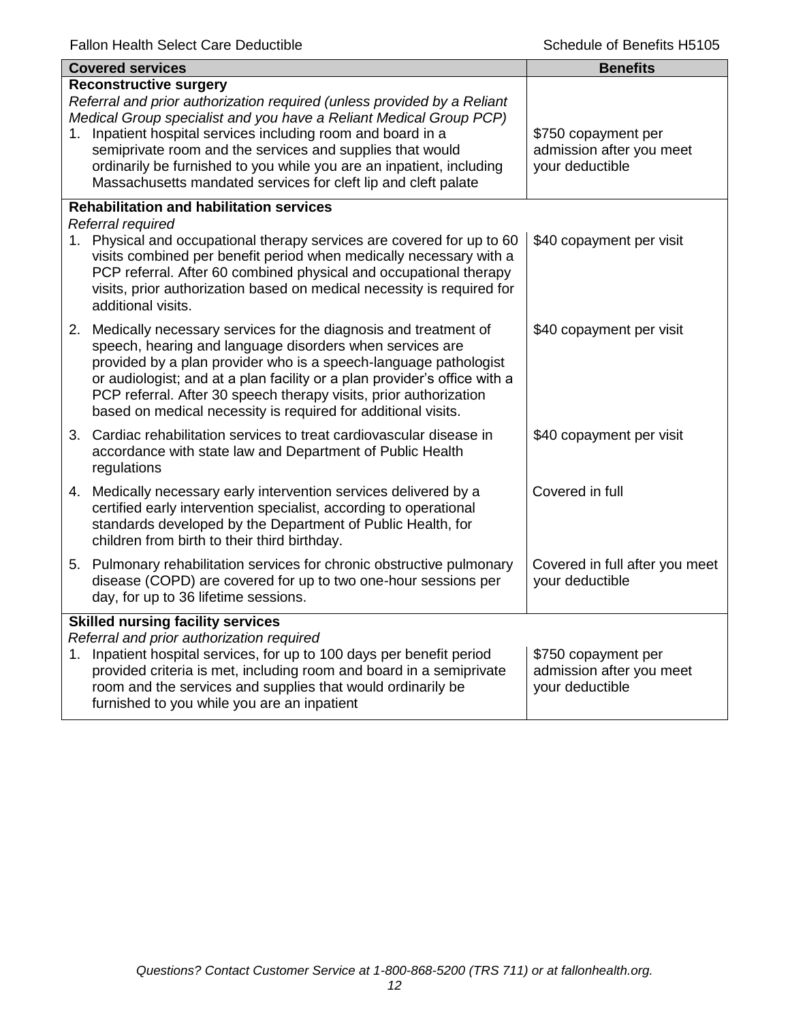|    | <b>Covered services</b>                                                                                                                                                                                                                                                                                                                                                                                                                               | <b>Benefits</b>                                                    |
|----|-------------------------------------------------------------------------------------------------------------------------------------------------------------------------------------------------------------------------------------------------------------------------------------------------------------------------------------------------------------------------------------------------------------------------------------------------------|--------------------------------------------------------------------|
|    | <b>Reconstructive surgery</b><br>Referral and prior authorization required (unless provided by a Reliant<br>Medical Group specialist and you have a Reliant Medical Group PCP)<br>1. Inpatient hospital services including room and board in a<br>semiprivate room and the services and supplies that would<br>ordinarily be furnished to you while you are an inpatient, including<br>Massachusetts mandated services for cleft lip and cleft palate | \$750 copayment per<br>admission after you meet<br>your deductible |
|    | <b>Rehabilitation and habilitation services</b><br>Referral required                                                                                                                                                                                                                                                                                                                                                                                  |                                                                    |
|    | 1. Physical and occupational therapy services are covered for up to 60<br>visits combined per benefit period when medically necessary with a<br>PCP referral. After 60 combined physical and occupational therapy<br>visits, prior authorization based on medical necessity is required for<br>additional visits.                                                                                                                                     | \$40 copayment per visit                                           |
|    | 2. Medically necessary services for the diagnosis and treatment of<br>speech, hearing and language disorders when services are<br>provided by a plan provider who is a speech-language pathologist<br>or audiologist; and at a plan facility or a plan provider's office with a<br>PCP referral. After 30 speech therapy visits, prior authorization<br>based on medical necessity is required for additional visits.                                 | \$40 copayment per visit                                           |
|    | 3. Cardiac rehabilitation services to treat cardiovascular disease in<br>accordance with state law and Department of Public Health<br>regulations                                                                                                                                                                                                                                                                                                     | \$40 copayment per visit                                           |
|    | 4. Medically necessary early intervention services delivered by a<br>certified early intervention specialist, according to operational<br>standards developed by the Department of Public Health, for<br>children from birth to their third birthday.                                                                                                                                                                                                 | Covered in full                                                    |
|    | 5. Pulmonary rehabilitation services for chronic obstructive pulmonary<br>disease (COPD) are covered for up to two one-hour sessions per<br>day, for up to 36 lifetime sessions.                                                                                                                                                                                                                                                                      | Covered in full after you meet<br>your deductible                  |
| 1. | <b>Skilled nursing facility services</b><br>Referral and prior authorization required<br>Inpatient hospital services, for up to 100 days per benefit period<br>provided criteria is met, including room and board in a semiprivate<br>room and the services and supplies that would ordinarily be<br>furnished to you while you are an inpatient                                                                                                      | \$750 copayment per<br>admission after you meet<br>your deductible |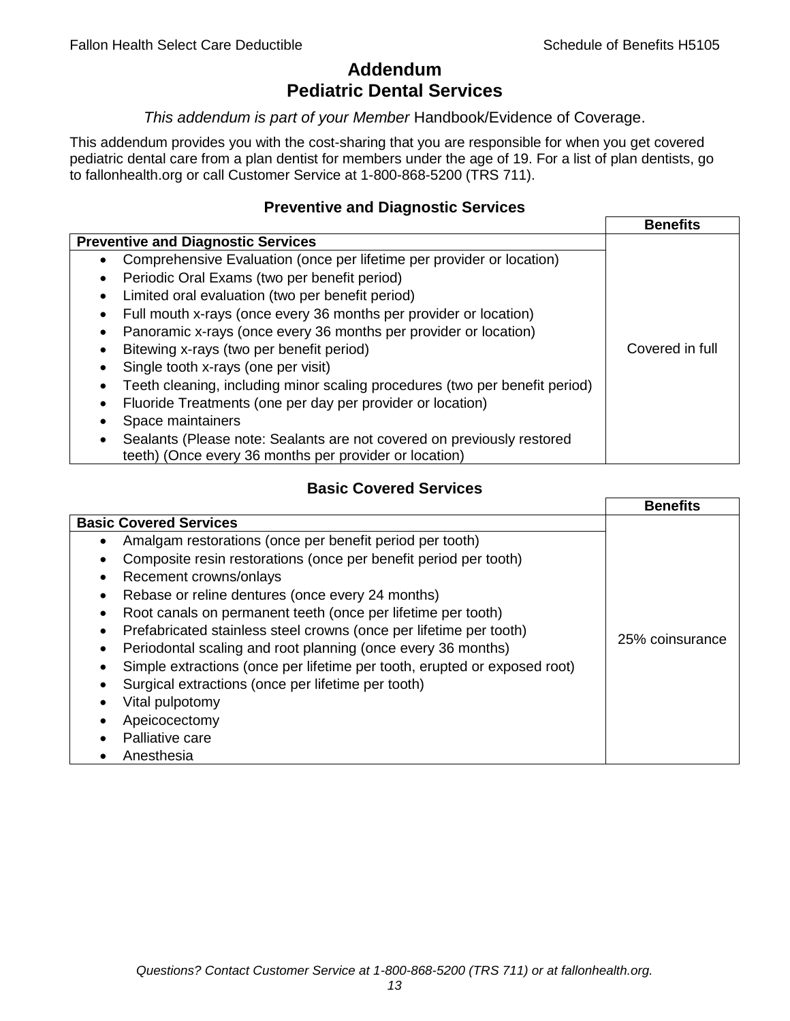# **Addendum Pediatric Dental Services**

### *This addendum is part of your Member* Handbook/Evidence of Coverage.

This addendum provides you with the cost-sharing that you are responsible for when you get covered pediatric dental care from a plan dentist for members under the age of 19. For a list of plan dentists, go to fallonhealth.org or call Customer Service at 1-800-868-5200 (TRS 711).

## **Preventive and Diagnostic Services**

|                                                                             | <b>Benefits</b> |
|-----------------------------------------------------------------------------|-----------------|
| <b>Preventive and Diagnostic Services</b>                                   |                 |
| Comprehensive Evaluation (once per lifetime per provider or location)<br>٠  |                 |
| Periodic Oral Exams (two per benefit period)<br>$\bullet$                   |                 |
| Limited oral evaluation (two per benefit period)<br>$\bullet$               |                 |
| Full mouth x-rays (once every 36 months per provider or location)           |                 |
| Panoramic x-rays (once every 36 months per provider or location)            |                 |
| Bitewing x-rays (two per benefit period)<br>٠                               | Covered in full |
| Single tooth x-rays (one per visit)                                         |                 |
| Teeth cleaning, including minor scaling procedures (two per benefit period) |                 |
| Fluoride Treatments (one per day per provider or location)<br>٠             |                 |
| Space maintainers                                                           |                 |
| Sealants (Please note: Sealants are not covered on previously restored      |                 |
| teeth) (Once every 36 months per provider or location)                      |                 |

## **Basic Covered Services**

|                                                                                                                                                                                                                                                                                                                                                                                                            | <b>Benefits</b> |
|------------------------------------------------------------------------------------------------------------------------------------------------------------------------------------------------------------------------------------------------------------------------------------------------------------------------------------------------------------------------------------------------------------|-----------------|
| <b>Basic Covered Services</b><br>Amalgam restorations (once per benefit period per tooth)<br>Composite resin restorations (once per benefit period per tooth)<br>Recement crowns/onlays<br>Rebase or reline dentures (once every 24 months)                                                                                                                                                                |                 |
| Root canals on permanent teeth (once per lifetime per tooth)<br>Prefabricated stainless steel crowns (once per lifetime per tooth)<br>Periodontal scaling and root planning (once every 36 months)<br>Simple extractions (once per lifetime per tooth, erupted or exposed root)<br>Surgical extractions (once per lifetime per tooth)<br>Vital pulpotomy<br>Apeicocectomy<br>Palliative care<br>Anesthesia | 25% coinsurance |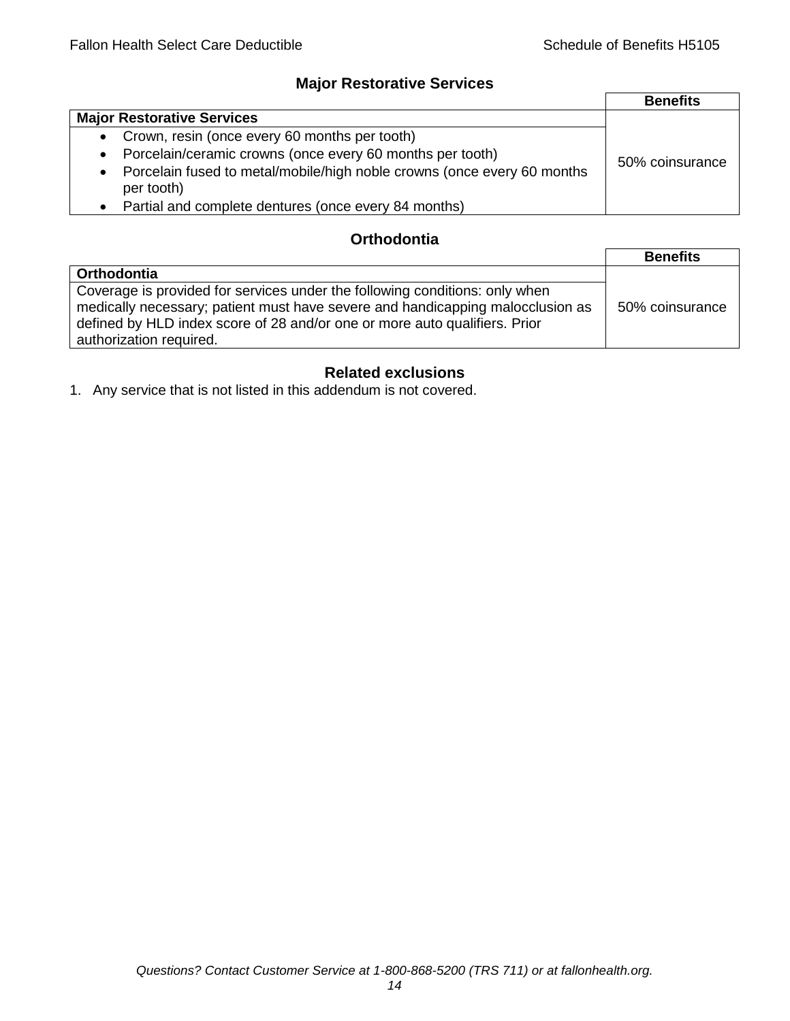## **Major Restorative Services**

|                                                                                                    | <b>Benefits</b> |
|----------------------------------------------------------------------------------------------------|-----------------|
| <b>Major Restorative Services</b>                                                                  |                 |
| • Crown, resin (once every 60 months per tooth)                                                    |                 |
| Porcelain/ceramic crowns (once every 60 months per tooth)<br>$\bullet$                             | 50% coinsurance |
| Porcelain fused to metal/mobile/high noble crowns (once every 60 months<br>$\bullet$<br>per tooth) |                 |
| Partial and complete dentures (once every 84 months)<br>$\bullet$                                  |                 |

## **Orthodontia**

|                                                                                                                                                                                                                                                                        | <b>Benefits</b> |
|------------------------------------------------------------------------------------------------------------------------------------------------------------------------------------------------------------------------------------------------------------------------|-----------------|
| Orthodontia                                                                                                                                                                                                                                                            |                 |
| Coverage is provided for services under the following conditions: only when<br>medically necessary; patient must have severe and handicapping malocclusion as<br>defined by HLD index score of 28 and/or one or more auto qualifiers. Prior<br>authorization required. | 50% coinsurance |

# **Related exclusions**

1. Any service that is not listed in this addendum is not covered.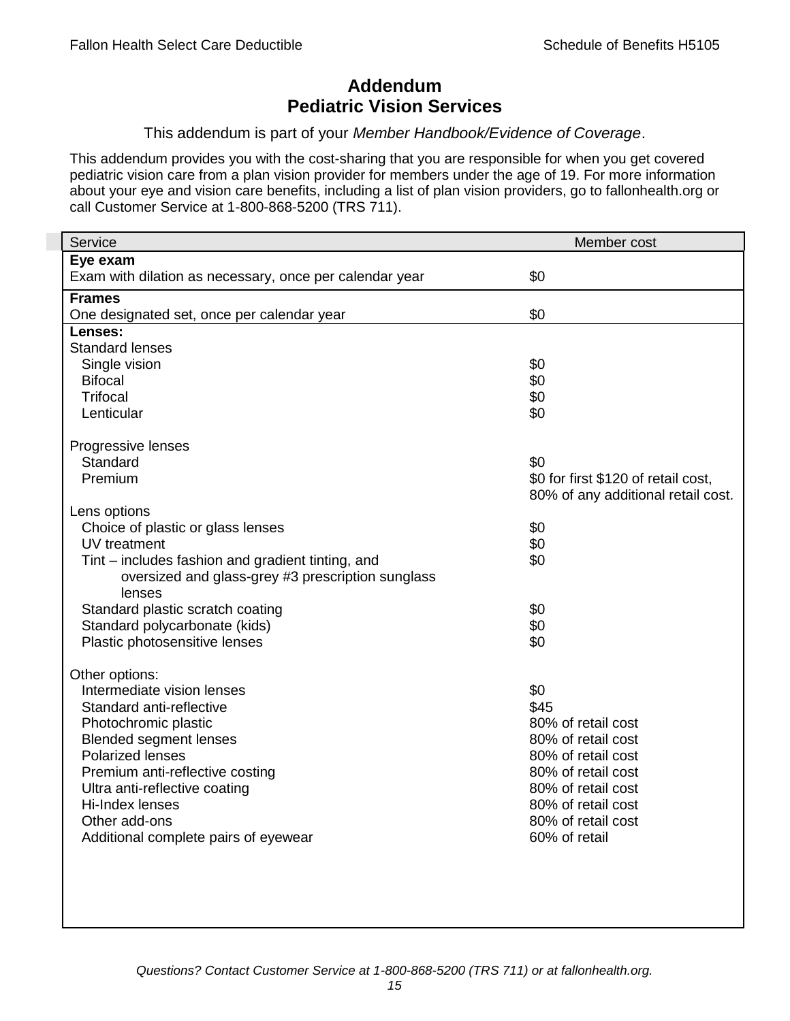## **Addendum Pediatric Vision Services**

### This addendum is part of your *Member Handbook/Evidence of Coverage*.

This addendum provides you with the cost-sharing that you are responsible for when you get covered pediatric vision care from a plan vision provider for members under the age of 19. For more information about your eye and vision care benefits, including a list of plan vision providers, go to fallonhealth.org or call Customer Service at 1-800-868-5200 (TRS 711).

| Service                                                 | Member cost                         |
|---------------------------------------------------------|-------------------------------------|
| Eye exam                                                |                                     |
| Exam with dilation as necessary, once per calendar year | \$0                                 |
| <b>Frames</b>                                           |                                     |
| One designated set, once per calendar year              | \$0                                 |
| Lenses:                                                 |                                     |
| <b>Standard lenses</b>                                  |                                     |
| Single vision                                           | \$0                                 |
| <b>Bifocal</b>                                          | \$0                                 |
| <b>Trifocal</b>                                         | \$0                                 |
| Lenticular                                              | \$0                                 |
| Progressive lenses                                      |                                     |
| Standard                                                | \$0                                 |
| Premium                                                 | \$0 for first \$120 of retail cost, |
|                                                         | 80% of any additional retail cost.  |
| Lens options                                            |                                     |
| Choice of plastic or glass lenses                       | \$0                                 |
| UV treatment                                            | \$0                                 |
| Tint – includes fashion and gradient tinting, and       | \$0                                 |
| oversized and glass-grey #3 prescription sunglass       |                                     |
| lenses                                                  |                                     |
| Standard plastic scratch coating                        | \$0                                 |
| Standard polycarbonate (kids)                           | \$0                                 |
| Plastic photosensitive lenses                           | \$0                                 |
|                                                         |                                     |
| Other options:<br>Intermediate vision lenses            | \$0                                 |
| Standard anti-reflective                                | \$45                                |
| Photochromic plastic                                    | 80% of retail cost                  |
| <b>Blended segment lenses</b>                           | 80% of retail cost                  |
| <b>Polarized lenses</b>                                 | 80% of retail cost                  |
| Premium anti-reflective costing                         | 80% of retail cost                  |
| Ultra anti-reflective coating                           | 80% of retail cost                  |
| Hi-Index lenses                                         | 80% of retail cost                  |
| Other add-ons                                           | 80% of retail cost                  |
| Additional complete pairs of eyewear                    | 60% of retail                       |
|                                                         |                                     |
|                                                         |                                     |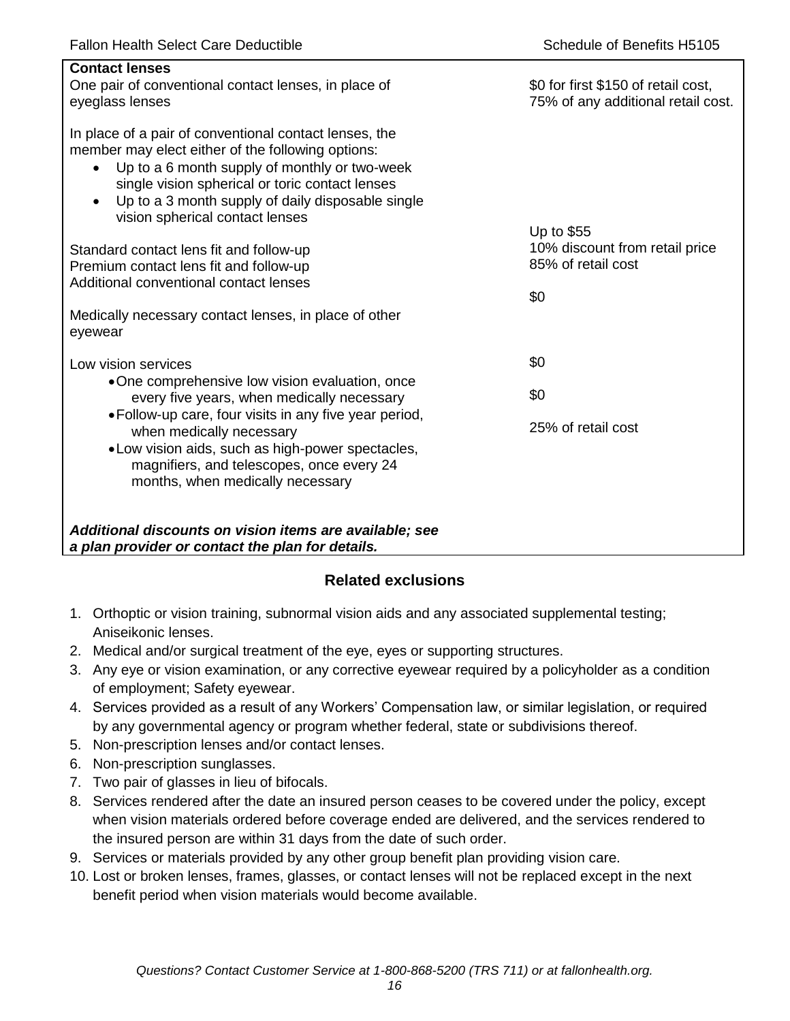| <b>Contact lenses</b><br>One pair of conventional contact lenses, in place of<br>eyeglass lenses                                                                                                                                                                                                                                  | \$0 for first \$150 of retail cost,<br>75% of any additional retail cost. |
|-----------------------------------------------------------------------------------------------------------------------------------------------------------------------------------------------------------------------------------------------------------------------------------------------------------------------------------|---------------------------------------------------------------------------|
| In place of a pair of conventional contact lenses, the<br>member may elect either of the following options:<br>Up to a 6 month supply of monthly or two-week<br>$\bullet$<br>single vision spherical or toric contact lenses<br>Up to a 3 month supply of daily disposable single<br>$\bullet$<br>vision spherical contact lenses |                                                                           |
| Standard contact lens fit and follow-up<br>Premium contact lens fit and follow-up                                                                                                                                                                                                                                                 | Up to \$55<br>10% discount from retail price<br>85% of retail cost        |
| Additional conventional contact lenses                                                                                                                                                                                                                                                                                            | \$0                                                                       |
| Medically necessary contact lenses, in place of other<br>eyewear                                                                                                                                                                                                                                                                  |                                                                           |
| Low vision services                                                                                                                                                                                                                                                                                                               | \$0                                                                       |
| •One comprehensive low vision evaluation, once<br>every five years, when medically necessary                                                                                                                                                                                                                                      | \$0                                                                       |
| • Follow-up care, four visits in any five year period,<br>when medically necessary<br>. Low vision aids, such as high-power spectacles,<br>magnifiers, and telescopes, once every 24<br>months, when medically necessary                                                                                                          | 25% of retail cost                                                        |
| Additional discounts on vision items are available; see<br>a plan provider or contact the plan for details.                                                                                                                                                                                                                       |                                                                           |

## **Related exclusions**

- 1. Orthoptic or vision training, subnormal vision aids and any associated supplemental testing; Aniseikonic lenses.
- 2. Medical and/or surgical treatment of the eye, eyes or supporting structures.
- 3. Any eye or vision examination, or any corrective eyewear required by a policyholder as a condition of employment; Safety eyewear.
- 4. Services provided as a result of any Workers' Compensation law, or similar legislation, or required by any governmental agency or program whether federal, state or subdivisions thereof.
- 5. Non-prescription lenses and/or contact lenses.
- 6. Non-prescription sunglasses.
- 7. Two pair of glasses in lieu of bifocals.
- 8. Services rendered after the date an insured person ceases to be covered under the policy, except when vision materials ordered before coverage ended are delivered, and the services rendered to the insured person are within 31 days from the date of such order.
- 9. Services or materials provided by any other group benefit plan providing vision care.
- 10. Lost or broken lenses, frames, glasses, or contact lenses will not be replaced except in the next benefit period when vision materials would become available.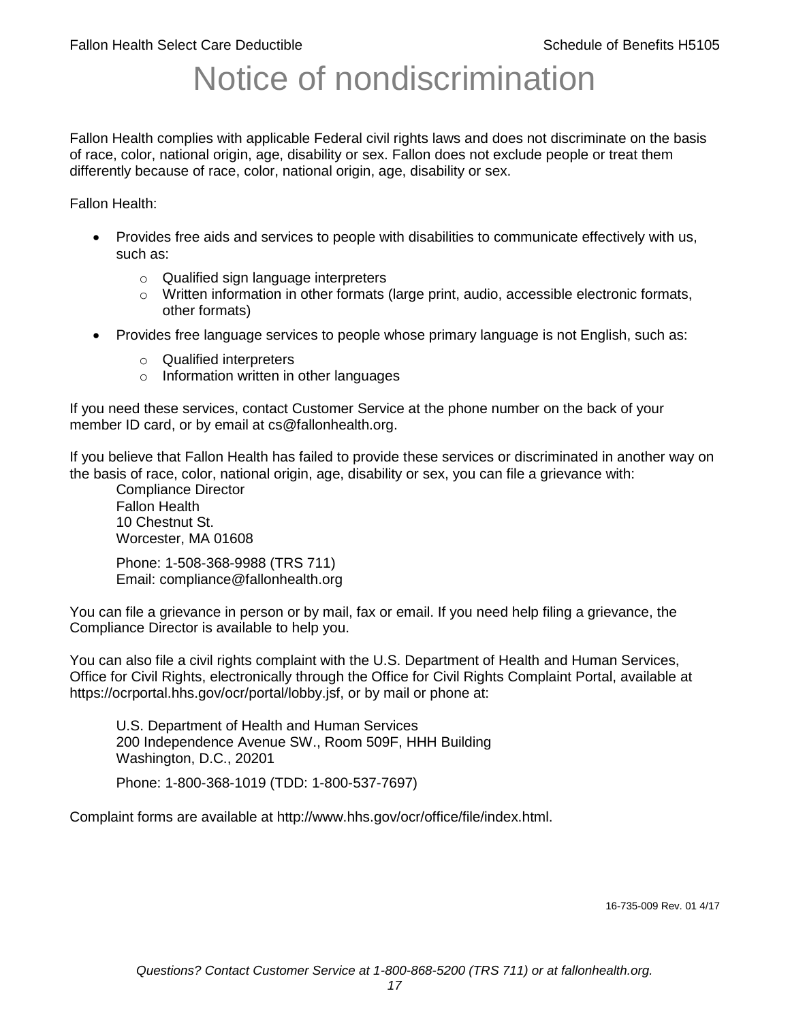# Notice of nondiscrimination

Fallon Health complies with applicable Federal civil rights laws and does not discriminate on the basis of race, color, national origin, age, disability or sex. Fallon does not exclude people or treat them differently because of race, color, national origin, age, disability or sex.

Fallon Health:

- Provides free aids and services to people with disabilities to communicate effectively with us, such as:
	- o Qualified sign language interpreters
	- $\circ$  Written information in other formats (large print, audio, accessible electronic formats, other formats)
- Provides free language services to people whose primary language is not English, such as:
	- o Qualified interpreters
	- o Information written in other languages

If you need these services, contact Customer Service at the phone number on the back of your member ID card, or by email at cs@fallonhealth.org.

If you believe that Fallon Health has failed to provide these services or discriminated in another way on the basis of race, color, national origin, age, disability or sex, you can file a grievance with:

Compliance Director Fallon Health 10 Chestnut St. Worcester, MA 01608

Phone: 1-508-368-9988 (TRS 711) Email: compliance@fallonhealth.org

You can file a grievance in person or by mail, fax or email. If you need help filing a grievance, the Compliance Director is available to help you.

You can also file a civil rights complaint with the U.S. Department of Health and Human Services, Office for Civil Rights, electronically through the Office for Civil Rights Complaint Portal, available at https://ocrportal.hhs.gov/ocr/portal/lobby.jsf, or by mail or phone at:

U.S. Department of Health and Human Services 200 Independence Avenue SW., Room 509F, HHH Building Washington, D.C., 20201

Phone: 1-800-368-1019 (TDD: 1-800-537-7697)

Complaint forms are available at http://www.hhs.gov/ocr/office/file/index.html.

16-735-009 Rev. 01 4/17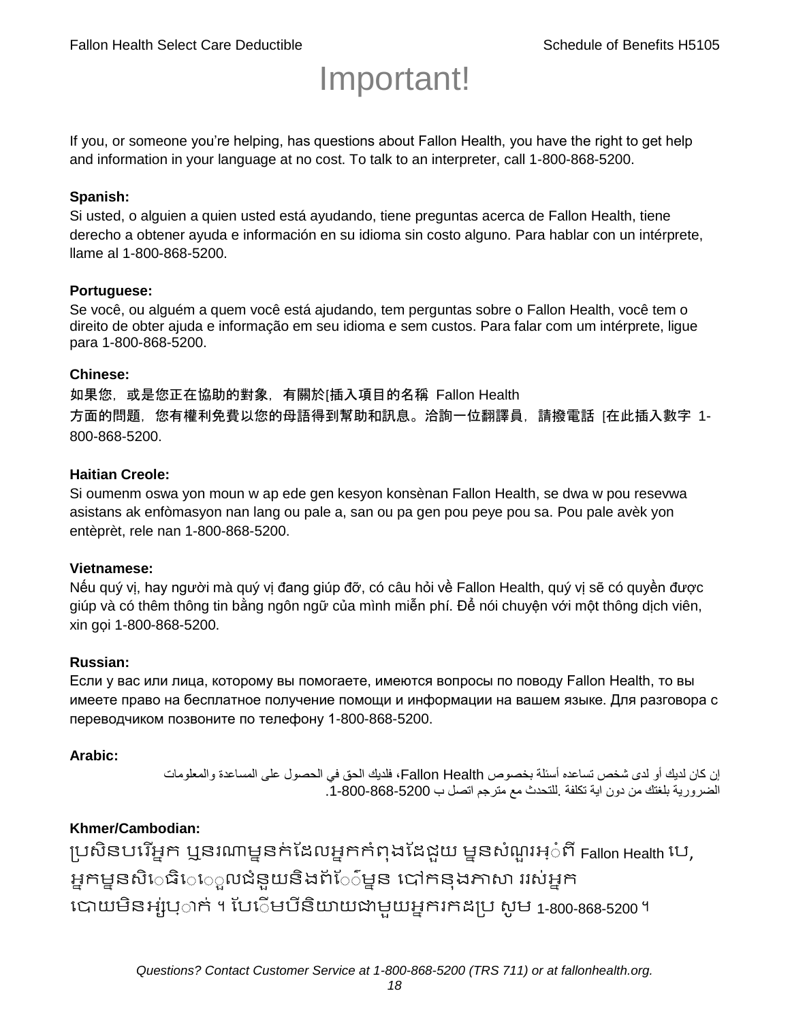# Important!

If you, or someone you're helping, has questions about Fallon Health, you have the right to get help and information in your language at no cost. To talk to an interpreter, call 1-800-868-5200.

#### **Spanish:**

Si usted, o alguien a quien usted está ayudando, tiene preguntas acerca de Fallon Health, tiene derecho a obtener ayuda e información en su idioma sin costo alguno. Para hablar con un intérprete, llame al 1-800-868-5200.

#### **Portuguese:**

Se você, ou alguém a quem você está ajudando, tem perguntas sobre o Fallon Health, você tem o direito de obter ajuda e informação em seu idioma e sem custos. Para falar com um intérprete, ligue para 1-800-868-5200.

#### **Chinese:**

如果您,或是您正在協助的對象,有關於[插入項目的名稱 Fallon Health 方面的問題, 您有權利免費以您的母語得到幫助和訊息。洽詢一位翻譯員, 請撥電話 [在此插入數字 1-800-868-5200.

#### **Haitian Creole:**

Si oumenm oswa yon moun w ap ede gen kesyon konsènan Fallon Health, se dwa w pou resevwa asistans ak enfòmasyon nan lang ou pale a, san ou pa gen pou peye pou sa. Pou pale avèk yon entèprèt, rele nan 1-800-868-5200.

#### **Vietnamese:**

Nếu quý vị, hay người mà quý vị đang giúp đỡ, có câu hỏi về Fallon Health, quý vị sẽ có quyền được giúp và có thêm thông tin bằng ngôn ngữ của mình miễn phí. Để nói chuyện với một thông dịch viên, xin gọi 1-800-868-5200.

#### **Russian:**

Если у вас или лица, которому вы помогаете, имеются вопросы по поводу Fallon Health, то вы имеете право на бесплатное получение помощи и информации на вашем языке. Для разговора с переводчиком позвоните по телефону 1-800-868-5200.

#### **Arabic:**

إن كان لديك أو لدى شخص تساعده أسئلة بخصوص Health Fallon، فلديك الحق في الحصول على المساعدة والمعلومات الضرورية بلغتك من دون اية تكلفة .للتحدث مع مترجم اتصل ب .1-800-868-5200

## **Khmer/Cambodian:**

ប្រសិនបរើអ្នក ឬនរណាម្ននក់ដែលអ្នកកំពុងដែជយ ម្ននសំណួរអ្៎ពី Fallon Health រប, អ្នកម្ននសិេធិេ្រុលជំនួយនិងព័ែ៌ម្នន បៅកនុងភាសា ររស់អ្នក រោយម្ិនអ្ស់រ្ំ ក់ ។ ដររំម្ រនី ិយាយជាម្ួយអ្នក កែប្រ សូ ម្ 1-800-868-5200 ។